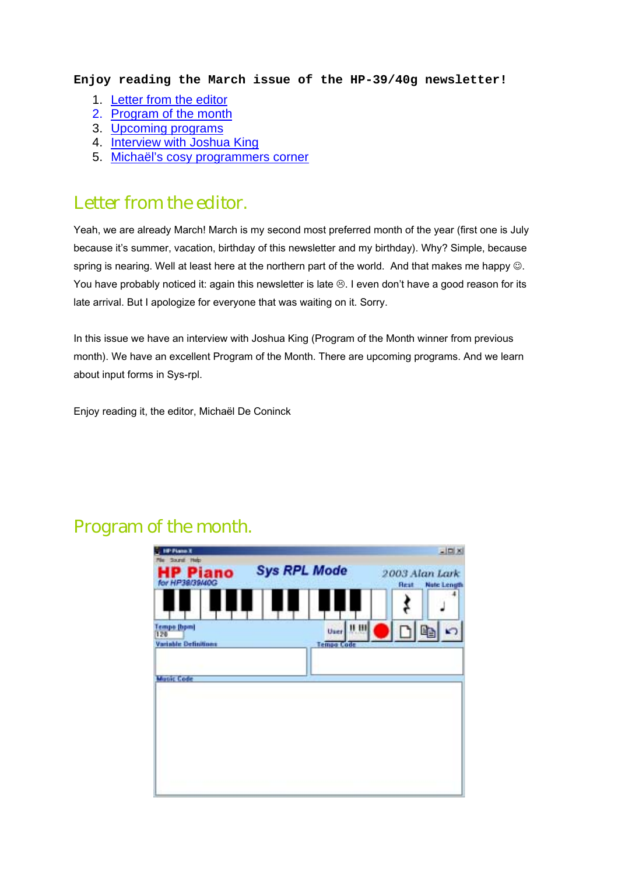#### **Enjoy reading the March issue of the HP-39/40g newsletter!**

- 1. [Letter from the editor](#page-1-0)
- 2. [Program of the month](#page-1-0)
- 3. [Upcoming programs](#page-1-0)
- 4. [Interview with Joshua King](#page-2-0)
- 5. [Michaël's cosy programmers corner](#page-3-0)

### Letter from the editor.

Yeah, we are already March! March is my second most preferred month of the year (first one is July because it's summer, vacation, birthday of this newsletter and my birthday). Why? Simple, because spring is nearing. Well at least here at the northern part of the world. And that makes me happy  $\odot$ . You have probably noticed it: again this newsletter is late  $\otimes$ . I even don't have a good reason for its late arrival. But I apologize for everyone that was waiting on it. Sorry.

In this issue we have an interview with Joshua King (Program of the Month winner from previous month). We have an excellent Program of the Month. There are upcoming programs. And we learn about input forms in Sys-rpl.

Enjoy reading it, the editor, Michaël De Coninck

## Program of the month.

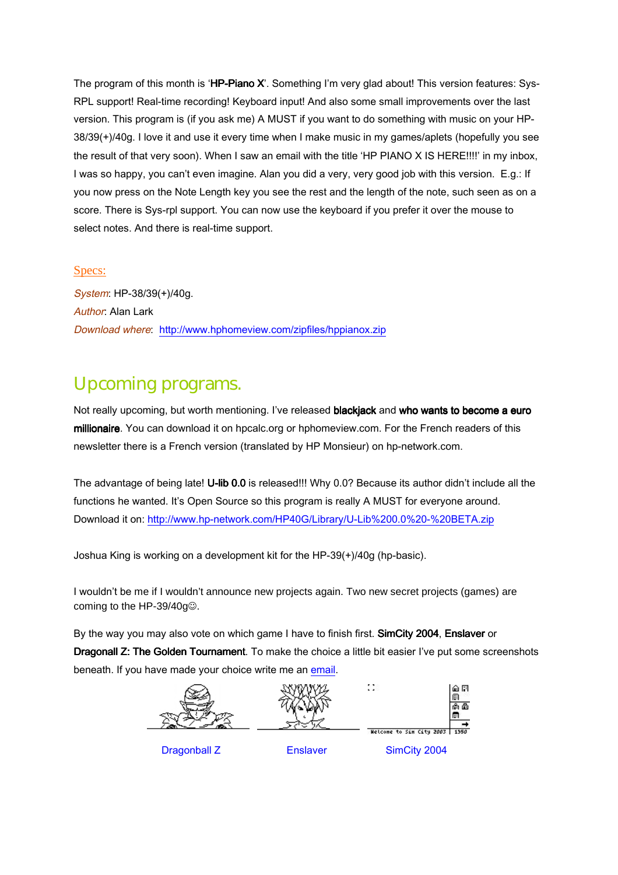<span id="page-1-0"></span>The program of this month is 'HP-Piano X'. Something I'm very glad about! This version features: Sys-RPL support! Real-time recording! Keyboard input! And also some small improvements over the last version. This program is (if you ask me) A MUST if you want to do something with music on your HP-38/39(+)/40g. I love it and use it every time when I make music in my games/aplets (hopefully you see the result of that very soon). When I saw an email with the title 'HP PIANO X IS HERE!!!!' in my inbox, I was so happy, you can't even imagine. Alan you did a very, very good job with this version. E.g.: If you now press on the Note Length key you see the rest and the length of the note, such seen as on a score. There is Sys-rpl support. You can now use the keyboard if you prefer it over the mouse to select notes. And there is real-time support.

#### Specs:

System: HP-38/39(+)/40g. Author: Alan Lark Download where: <http://www.hphomeview.com/zipfiles/hppianox.zip>

## Upcoming programs.

Not really upcoming, but worth mentioning. I've released blackjack and who wants to become a euro millionaire. You can download it on hpcalc.org or hphomeview.com. For the French readers of this newsletter there is a French version (translated by HP Monsieur) on hp-network.com.

The advantage of being late! U-lib 0.0 is released!!! Why 0.0? Because its author didn't include all the functions he wanted. It's Open Source so this program is really A MUST for everyone around. Download it on: [http://www.hp-network.com/HP40G/Library/U-Lib%200.0%20-%20BETA.zip](http://www.hp-network.com/HP40G/Library/U-Lib 0.0 - BETA.zip)

Joshua King is working on a development kit for the HP-39(+)/40g (hp-basic).

I wouldn't be me if I wouldn't announce new projects again. Two new secret projects (games) are coming to the HP-39/40g<sup>o</sup>.

By the way you may also vote on which game I have to finish first. SimCity 2004, Enslaver or Dragonall Z: The Golden Tournament. To make the choice a little bit easier I've put some screenshots beneath. If you have made your choice write me an email.

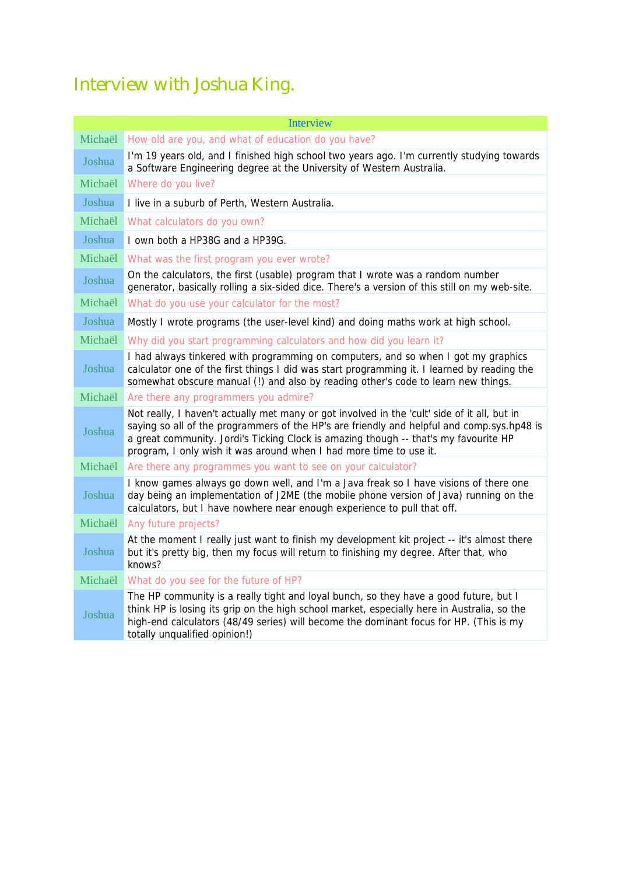# <span id="page-2-0"></span>Interview with Joshua King.

| <b>Interview</b> |                                                                                                                                                                                                                                                                                                                                                          |
|------------------|----------------------------------------------------------------------------------------------------------------------------------------------------------------------------------------------------------------------------------------------------------------------------------------------------------------------------------------------------------|
| Michaël          | How old are you, and what of education do you have?                                                                                                                                                                                                                                                                                                      |
| Joshua           | I'm 19 years old, and I finished high school two years ago. I'm currently studying towards<br>a Software Engineering degree at the University of Western Australia.                                                                                                                                                                                      |
| Michaël          | Where do you live?                                                                                                                                                                                                                                                                                                                                       |
| Joshua           | I live in a suburb of Perth, Western Australia.                                                                                                                                                                                                                                                                                                          |
| Michaël          | What calculators do you own?                                                                                                                                                                                                                                                                                                                             |
| Joshua           | I own both a HP38G and a HP39G.                                                                                                                                                                                                                                                                                                                          |
| Michaël          | What was the first program you ever wrote?                                                                                                                                                                                                                                                                                                               |
| Joshua           | On the calculators, the first (usable) program that I wrote was a random number<br>generator, basically rolling a six-sided dice. There's a version of this still on my web-site.                                                                                                                                                                        |
| Michaël          | What do you use your calculator for the most?                                                                                                                                                                                                                                                                                                            |
| Joshua           | Mostly I wrote programs (the user-level kind) and doing maths work at high school.                                                                                                                                                                                                                                                                       |
| Michaël          | Why did you start programming calculators and how did you learn it?                                                                                                                                                                                                                                                                                      |
| Joshua           | I had always tinkered with programming on computers, and so when I got my graphics<br>calculator one of the first things I did was start programming it. I learned by reading the<br>somewhat obscure manual (!) and also by reading other's code to learn new things.                                                                                   |
| Michaël          | Are there any programmers you admire?                                                                                                                                                                                                                                                                                                                    |
| Joshua           | Not really, I haven't actually met many or got involved in the 'cult' side of it all, but in<br>saying so all of the programmers of the HP's are friendly and helpful and comp.sys.hp48 is<br>a great community. Jordi's Ticking Clock is amazing though -- that's my favourite HP<br>program, I only wish it was around when I had more time to use it. |
| Michaël          | Are there any programmes you want to see on your calculator?                                                                                                                                                                                                                                                                                             |
| Joshua           | I know games always go down well, and I'm a Java freak so I have visions of there one<br>day being an implementation of J2ME (the mobile phone version of Java) running on the<br>calculators, but I have nowhere near enough experience to pull that off.                                                                                               |
| Michaël          | Any future projects?                                                                                                                                                                                                                                                                                                                                     |
| Joshua           | At the moment I really just want to finish my development kit project -- it's almost there<br>but it's pretty big, then my focus will return to finishing my degree. After that, who<br>knows?                                                                                                                                                           |
| Michaël          | What do you see for the future of HP?                                                                                                                                                                                                                                                                                                                    |
| Joshua           | The HP community is a really tight and loyal bunch, so they have a good future, but I<br>think HP is losing its grip on the high school market, especially here in Australia, so the<br>high-end calculators (48/49 series) will become the dominant focus for HP. (This is my<br>totally unqualified opinion!)                                          |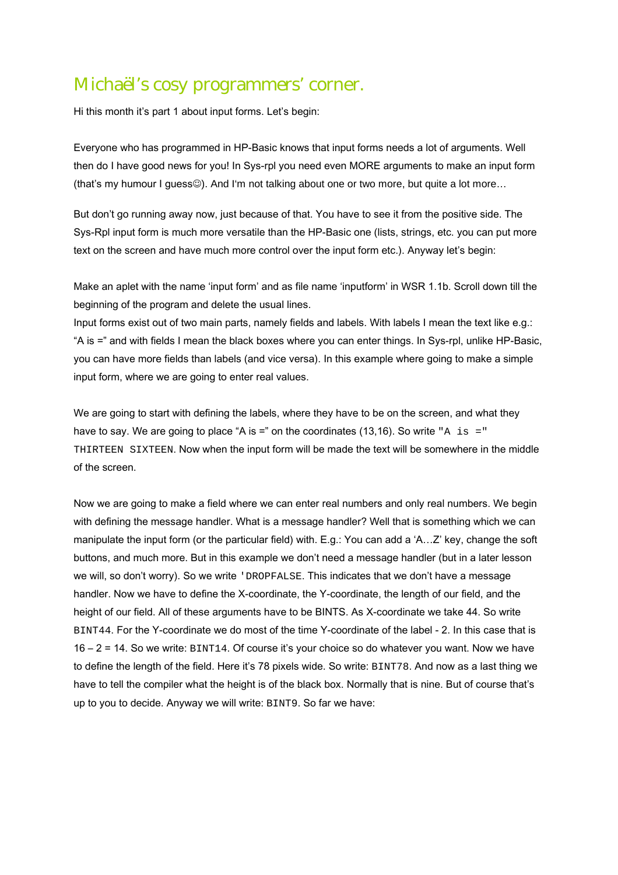## <span id="page-3-0"></span>Michaël's cosy programmers' corner.

Hi this month it's part 1 about input forms. Let's begin:

Everyone who has programmed in HP-Basic knows that input forms needs a lot of arguments. Well then do I have good news for you! In Sys-rpl you need even MORE arguments to make an input form (that's my humour I guess©). And I'm not talking about one or two more, but quite a lot more...

But don't go running away now, just because of that. You have to see it from the positive side. The Sys-Rpl input form is much more versatile than the HP-Basic one (lists, strings, etc. you can put more text on the screen and have much more control over the input form etc.). Anyway let's begin:

Make an aplet with the name 'input form' and as file name 'inputform' in WSR 1.1b. Scroll down till the beginning of the program and delete the usual lines.

Input forms exist out of two main parts, namely fields and labels. With labels I mean the text like e.g.: "A is =" and with fields I mean the black boxes where you can enter things. In Sys-rpl, unlike HP-Basic, you can have more fields than labels (and vice versa). In this example where going to make a simple input form, where we are going to enter real values.

We are going to start with defining the labels, where they have to be on the screen, and what they have to say. We are going to place "A is  $=$ " on the coordinates (13,16). So write "A is  $=$ " THIRTEEN SIXTEEN. Now when the input form will be made the text will be somewhere in the middle of the screen.

Now we are going to make a field where we can enter real numbers and only real numbers. We begin with defining the message handler. What is a message handler? Well that is something which we can manipulate the input form (or the particular field) with. E.g.: You can add a 'A…Z' key, change the soft buttons, and much more. But in this example we don't need a message handler (but in a later lesson we will, so don't worry). So we write 'DROPFALSE. This indicates that we don't have a message handler. Now we have to define the X-coordinate, the Y-coordinate, the length of our field, and the height of our field. All of these arguments have to be BINTS. As X-coordinate we take 44. So write BINT44. For the Y-coordinate we do most of the time Y-coordinate of the label - 2. In this case that is 16 – 2 = 14. So we write: BINT14. Of course it's your choice so do whatever you want. Now we have to define the length of the field. Here it's 78 pixels wide. So write: BINT78. And now as a last thing we have to tell the compiler what the height is of the black box. Normally that is nine. But of course that's up to you to decide. Anyway we will write: BINT9. So far we have: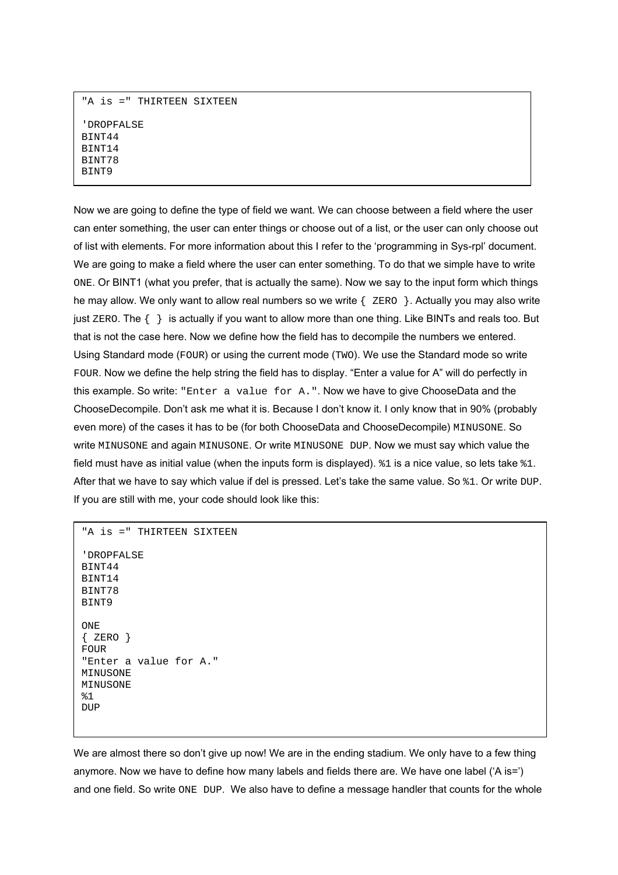```
"A is =" THIRTEEN SIXTEEN 
'DROPFALSE 
BINT44 
BINT14 
BINT78 
BINT9
```
Now we are going to define the type of field we want. We can choose between a field where the user can enter something, the user can enter things or choose out of a list, or the user can only choose out of list with elements. For more information about this I refer to the 'programming in Sys-rpl' document. We are going to make a field where the user can enter something. To do that we simple have to write ONE. Or BINT1 (what you prefer, that is actually the same). Now we say to the input form which things he may allow. We only want to allow real numbers so we write { zERO }. Actually you may also write just ZERO. The { } is actually if you want to allow more than one thing. Like BINTs and reals too. But that is not the case here. Now we define how the field has to decompile the numbers we entered. Using Standard mode (FOUR) or using the current mode (TWO). We use the Standard mode so write FOUR. Now we define the help string the field has to display. "Enter a value for A" will do perfectly in this example. So write: "Enter a value for A.". Now we have to give ChooseData and the ChooseDecompile. Don't ask me what it is. Because I don't know it. I only know that in 90% (probably even more) of the cases it has to be (for both ChooseData and ChooseDecompile) MINUSONE. So write MINUSONE and again MINUSONE. Or write MINUSONE DUP. Now we must say which value the field must have as initial value (when the inputs form is displayed). %1 is a nice value, so lets take %1. After that we have to say which value if del is pressed. Let's take the same value. So  $*1$ . Or write DUP. If you are still with me, your code should look like this:

```
"A is =" THIRTEEN SIXTEEN 
'DROPFALSE 
BINT44 
BINT14 
BINT78 
BINT9 
ONE 
{ERO}FOUR 
"Enter a value for A." 
MINUSONE 
MINUSONE 
& 1DID
```
We are almost there so don't give up now! We are in the ending stadium. We only have to a few thing anymore. Now we have to define how many labels and fields there are. We have one label ('A is=') and one field. So write ONE DUP. We also have to define a message handler that counts for the whole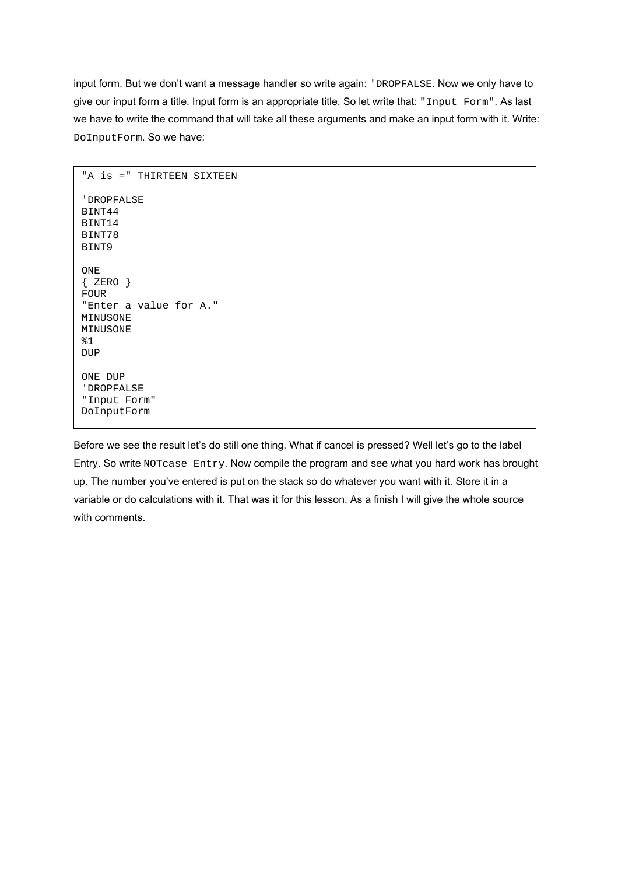input form. But we don't want a message handler so write again: 'DROPFALSE. Now we only have to give our input form a title. Input form is an appropriate title. So let write that: "Input Form". As last we have to write the command that will take all these arguments and make an input form with it. Write: DoInputForm. So we have:

```
"A is =" THIRTEEN SIXTEEN 
'DROPFALSE 
BINT44 
BINT14 
BINT78 
BINT9 
ONE 
{ ZERO } 
FOUR 
"Enter a value for A." 
MINUSONE 
MINUSONE 
81DUP
ONE DUP 
'DROPFALSE 
"Input Form" 
DoInputForm
```
Before we see the result let's do still one thing. What if cancel is pressed? Well let's go to the label Entry. So write NOTcase Entry. Now compile the program and see what you hard work has brought up. The number you've entered is put on the stack so do whatever you want with it. Store it in a variable or do calculations with it. That was it for this lesson. As a finish I will give the whole source with comments.